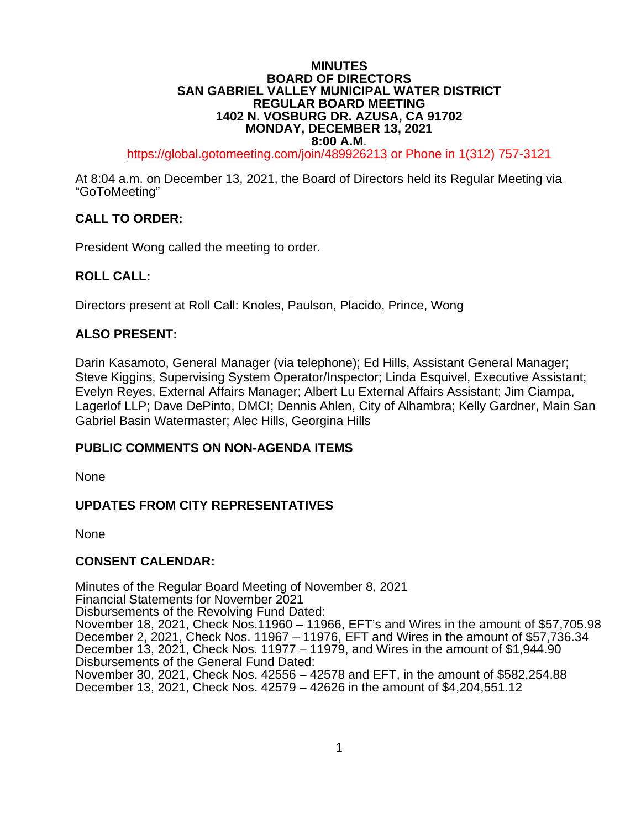#### **MINUTES BOARD OF DIRECTORS SAN GABRIEL VALLEY MUNICIPAL WATER DISTRICT REGULAR BOARD MEETING 1402 N. VOSBURG DR. AZUSA, CA 91702 MONDAY, DECEMBER 13, 2021**

**8:00 A.M.**<br>[https://global.gotomeeting.com/join/4](https://global.gotomeeting.com/join/6)89926213 or Phone in 1(312) 757-3121

At 8:04 a.m. on December 13, 2021, the Board of Directors held its Regular Meeting via "GoToMeeting"

# **CALL TO ORDER:**

President Wong called the meeting to order.

# **ROLL CALL:**

Directors present at Roll Call: Knoles, Paulson, Placido, Prince, Wong

## **ALSO PRESENT:**

Darin Kasamoto, General Manager (via telephone); Ed Hills, Assistant General Manager; Steve Kiggins, Supervising System Operator/Inspector; Linda Esquivel, Executive Assistant; Evelyn Reyes, External Affairs Manager; Albert Lu External Affairs Assistant; Jim Ciampa, Lagerlof LLP; Dave DePinto, DMCI; Dennis Ahlen, City of Alhambra; Kelly Gardner, Main San Gabriel Basin Watermaster; Alec Hills, Georgina Hills

#### **PUBLIC COMMENTS ON NON-AGENDA ITEMS**

None

# **UPDATES FROM CITY REPRESENTATIVES**

None

#### **CONSENT CALENDAR:**

Minutes of the Regular Board Meeting of November 8, 2021 Financial Statements for November 2021 Disbursements of the Revolving Fund Dated: November 18, 2021, Check Nos.11960 – 11966, EFT's and Wires in the amount of \$57,705.98 December 2, 2021, Check Nos. 11967 – 11976, EFT and Wires in the amount of \$57,736.34 December 13, 2021, Check Nos. 11977 – 11979, and Wires in the amount of \$1,944.90 Disbursements of the General Fund Dated: November 30, 2021, Check Nos. 42556 – 42578 and EFT, in the amount of \$582,254.88 December 13, 2021, Check Nos. 42579 – 42626 in the amount of \$4,204,551.12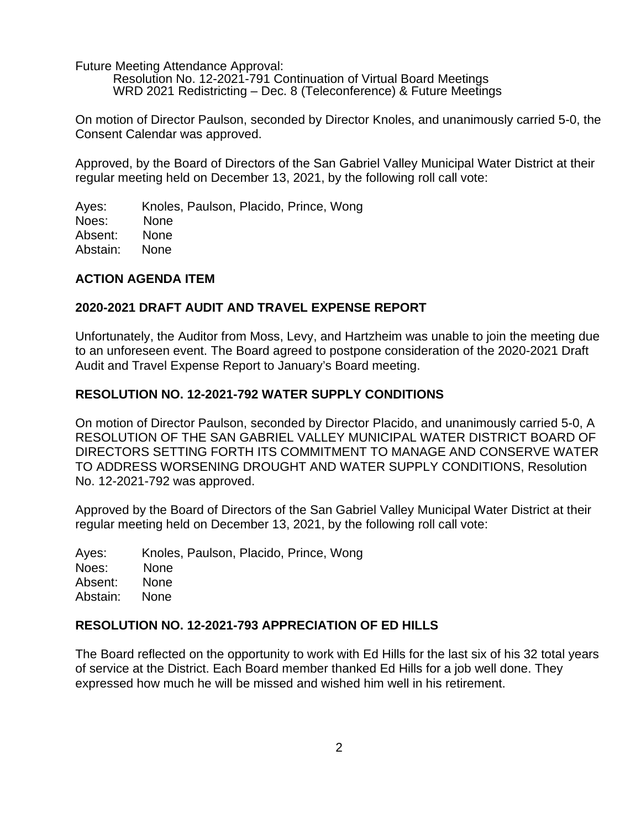Future Meeting Attendance Approval:

Resolution No. 12-2021-791 Continuation of Virtual Board Meetings WRD 2021 Redistricting – Dec. 8 (Teleconference) & Future Meetings

On motion of Director Paulson, seconded by Director Knoles, and unanimously carried 5-0, the Consent Calendar was approved.

Approved, by the Board of Directors of the San Gabriel Valley Municipal Water District at their regular meeting held on December 13, 2021, by the following roll call vote:

Ayes: Knoles, Paulson, Placido, Prince, Wong Noes: None Absent: None Abstain: None

## **ACTION AGENDA ITEM**

## **2020-2021 DRAFT AUDIT AND TRAVEL EXPENSE REPORT**

Unfortunately, the Auditor from Moss, Levy, and Hartzheim was unable to join the meeting due to an unforeseen event. The Board agreed to postpone consideration of the 2020-2021 Draft Audit and Travel Expense Report to January's Board meeting.

## **RESOLUTION NO. 12-2021-792 WATER SUPPLY CONDITIONS**

On motion of Director Paulson, seconded by Director Placido, and unanimously carried 5-0, A RESOLUTION OF THE SAN GABRIEL VALLEY MUNICIPAL WATER DISTRICT BOARD OF DIRECTORS SETTING FORTH ITS COMMITMENT TO MANAGE AND CONSERVE WATER TO ADDRESS WORSENING DROUGHT AND WATER SUPPLY CONDITIONS, Resolution No. 12-2021-792 was approved.

Approved by the Board of Directors of the San Gabriel Valley Municipal Water District at their regular meeting held on December 13, 2021, by the following roll call vote:

Ayes: Knoles, Paulson, Placido, Prince, Wong Noes: None Absent: None Abstain: None

#### **RESOLUTION NO. 12-2021-793 APPRECIATION OF ED HILLS**

The Board reflected on the opportunity to work with Ed Hills for the last six of his 32 total years of service at the District. Each Board member thanked Ed Hills for a job well done. They expressed how much he will be missed and wished him well in his retirement.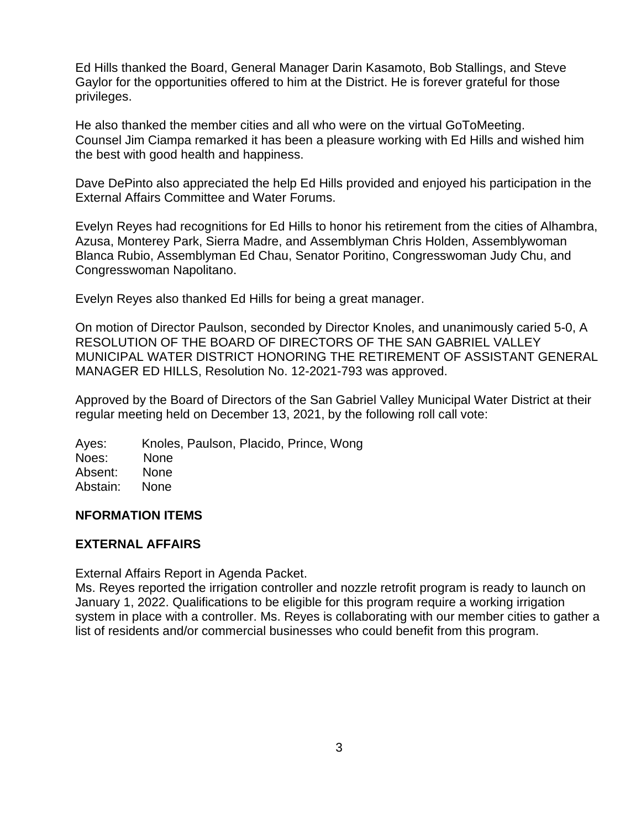Ed Hills thanked the Board, General Manager Darin Kasamoto, Bob Stallings, and Steve Gaylor for the opportunities offered to him at the District. He is forever grateful for those privileges.

He also thanked the member cities and all who were on the virtual GoToMeeting. Counsel Jim Ciampa remarked it has been a pleasure working with Ed Hills and wished him the best with good health and happiness.

Dave DePinto also appreciated the help Ed Hills provided and enjoyed his participation in the External Affairs Committee and Water Forums.

Evelyn Reyes had recognitions for Ed Hills to honor his retirement from the cities of Alhambra, Azusa, Monterey Park, Sierra Madre, and Assemblyman Chris Holden, Assemblywoman Blanca Rubio, Assemblyman Ed Chau, Senator Poritino, Congresswoman Judy Chu, and Congresswoman Napolitano.

Evelyn Reyes also thanked Ed Hills for being a great manager.

On motion of Director Paulson, seconded by Director Knoles, and unanimously caried 5-0, A RESOLUTION OF THE BOARD OF DIRECTORS OF THE SAN GABRIEL VALLEY MUNICIPAL WATER DISTRICT HONORING THE RETIREMENT OF ASSISTANT GENERAL MANAGER ED HILLS, Resolution No. 12-2021-793 was approved.

Approved by the Board of Directors of the San Gabriel Valley Municipal Water District at their regular meeting held on December 13, 2021, by the following roll call vote:

Ayes: Knoles, Paulson, Placido, Prince, Wong Noes: None Absent: None Abstain: None

# **NFORMATION ITEMS**

#### **EXTERNAL AFFAIRS**

External Affairs Report in Agenda Packet.

Ms. Reyes reported the irrigation controller and nozzle retrofit program is ready to launch on January 1, 2022. Qualifications to be eligible for this program require a working irrigation system in place with a controller. Ms. Reyes is collaborating with our member cities to gather a list of residents and/or commercial businesses who could benefit from this program.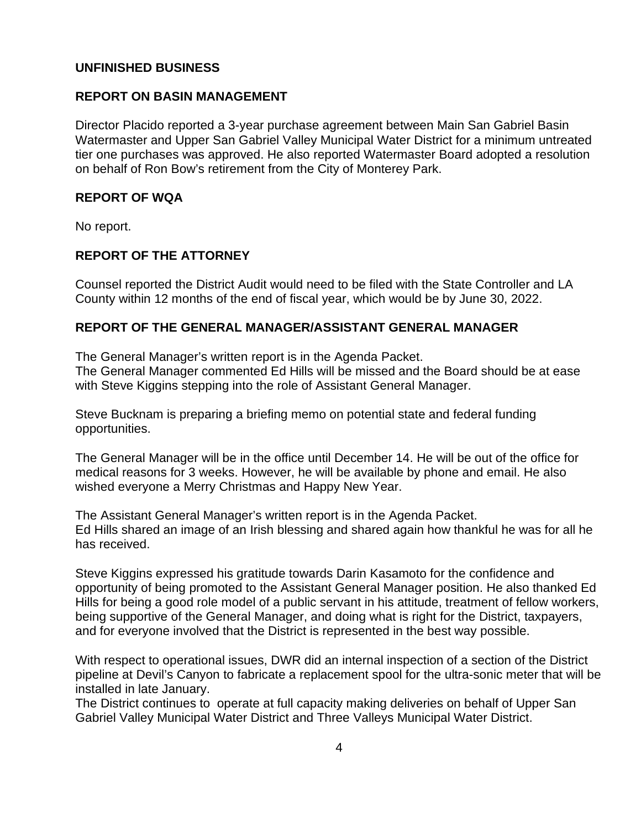## **UNFINISHED BUSINESS**

## **REPORT ON BASIN MANAGEMENT**

Director Placido reported a 3-year purchase agreement between Main San Gabriel Basin Watermaster and Upper San Gabriel Valley Municipal Water District for a minimum untreated tier one purchases was approved. He also reported Watermaster Board adopted a resolution on behalf of Ron Bow's retirement from the City of Monterey Park.

## **REPORT OF WQA**

No report.

# **REPORT OF THE ATTORNEY**

Counsel reported the District Audit would need to be filed with the State Controller and LA County within 12 months of the end of fiscal year, which would be by June 30, 2022.

## **REPORT OF THE GENERAL MANAGER/ASSISTANT GENERAL MANAGER**

The General Manager's written report is in the Agenda Packet. The General Manager commented Ed Hills will be missed and the Board should be at ease with Steve Kiggins stepping into the role of Assistant General Manager.

Steve Bucknam is preparing a briefing memo on potential state and federal funding opportunities.

The General Manager will be in the office until December 14. He will be out of the office for medical reasons for 3 weeks. However, he will be available by phone and email. He also wished everyone a Merry Christmas and Happy New Year.

The Assistant General Manager's written report is in the Agenda Packet. Ed Hills shared an image of an Irish blessing and shared again how thankful he was for all he has received.

Steve Kiggins expressed his gratitude towards Darin Kasamoto for the confidence and opportunity of being promoted to the Assistant General Manager position. He also thanked Ed Hills for being a good role model of a public servant in his attitude, treatment of fellow workers, being supportive of the General Manager, and doing what is right for the District, taxpayers, and for everyone involved that the District is represented in the best way possible.

With respect to operational issues, DWR did an internal inspection of a section of the District pipeline at Devil's Canyon to fabricate a replacement spool for the ultra-sonic meter that will be installed in late January.

The District continues to operate at full capacity making deliveries on behalf of Upper San Gabriel Valley Municipal Water District and Three Valleys Municipal Water District.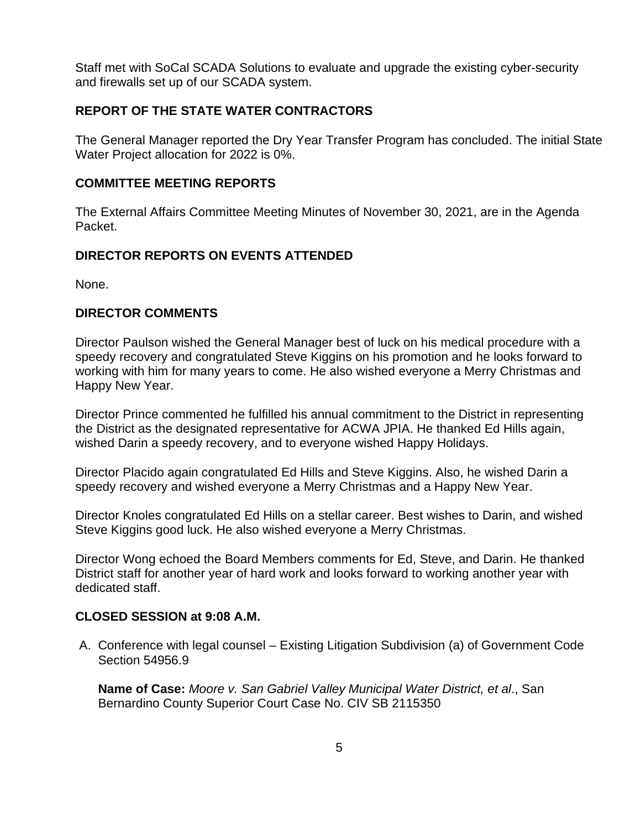Staff met with SoCal SCADA Solutions to evaluate and upgrade the existing cyber-security and firewalls set up of our SCADA system.

# **REPORT OF THE STATE WATER CONTRACTORS**

The General Manager reported the Dry Year Transfer Program has concluded. The initial State Water Project allocation for 2022 is 0%.

# **COMMITTEE MEETING REPORTS**

The External Affairs Committee Meeting Minutes of November 30, 2021, are in the Agenda Packet.

# **DIRECTOR REPORTS ON EVENTS ATTENDED**

None.

## **DIRECTOR COMMENTS**

Director Paulson wished the General Manager best of luck on his medical procedure with a speedy recovery and congratulated Steve Kiggins on his promotion and he looks forward to working with him for many years to come. He also wished everyone a Merry Christmas and Happy New Year.

Director Prince commented he fulfilled his annual commitment to the District in representing the District as the designated representative for ACWA JPIA. He thanked Ed Hills again, wished Darin a speedy recovery, and to everyone wished Happy Holidays.

Director Placido again congratulated Ed Hills and Steve Kiggins. Also, he wished Darin a speedy recovery and wished everyone a Merry Christmas and a Happy New Year.

Director Knoles congratulated Ed Hills on a stellar career. Best wishes to Darin, and wished Steve Kiggins good luck. He also wished everyone a Merry Christmas.

Director Wong echoed the Board Members comments for Ed, Steve, and Darin. He thanked District staff for another year of hard work and looks forward to working another year with dedicated staff.

#### **CLOSED SESSION at 9:08 A.M.**

A. Conference with legal counsel – Existing Litigation Subdivision (a) of Government Code Section 54956.9

**Name of Case:** *Moore v. San Gabriel Valley Municipal Water District, et al*., San Bernardino County Superior Court Case No. CIV SB 2115350